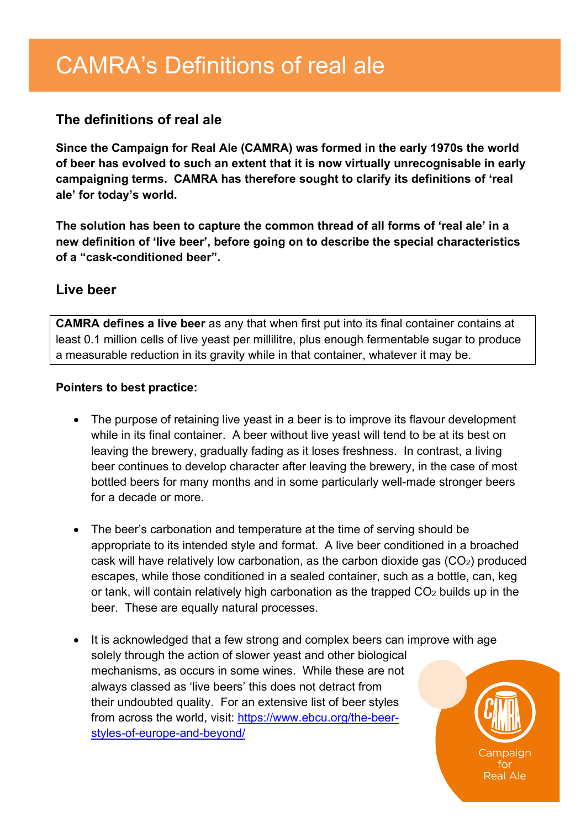## **The definitions of real ale**

**Since the Campaign for Real Ale (CAMRA) was formed in the early 1970s the world of beer has evolved to such an extent that it is now virtually unrecognisable in early campaigning terms. CAMRA has therefore sought to clarify its definitions of 'real ale' for today's world.** 

**The solution has been to capture the common thread of all forms of 'real ale' in a new definition of 'live beer', before going on to describe the special characteristics of a "cask-conditioned beer".**

### **Live beer**

**CAMRA defines a live beer** as any that when first put into its final container contains at least 0.1 million cells of live yeast per millilitre, plus enough fermentable sugar to produce a measurable reduction in its gravity while in that container, whatever it may be.

#### **Pointers to best practice:**

- The purpose of retaining live yeast in a beer is to improve its flavour development while in its final container. A beer without live yeast will tend to be at its best on leaving the brewery, gradually fading as it loses freshness. In contrast, a living beer continues to develop character after leaving the brewery, in the case of most bottled beers for many months and in some particularly well-made stronger beers for a decade or more.
- The beer's carbonation and temperature at the time of serving should be appropriate to its intended style and format. A live beer conditioned in a broached cask will have relatively low carbonation, as the carbon dioxide gas  $(CO<sub>2</sub>)$  produced escapes, while those conditioned in a sealed container, such as a bottle, can, keg or tank, will contain relatively high carbonation as the trapped  $CO<sub>2</sub>$  builds up in the beer. These are equally natural processes.
- It is acknowledged that a few strong and complex beers can improve with age solely through the action of slower yeast and other biological mechanisms, as occurs in some wines. While these are not always classed as 'live beers' this does not detract from their undoubted quality. For an extensive list of beer styles from across the world, visit: [https://www.ebcu.org/the-beer](https://www.ebcu.org/the-beer-styles-of-europe-and-beyond/)[styles-of-europe-and-beyond/](https://www.ebcu.org/the-beer-styles-of-europe-and-beyond/)

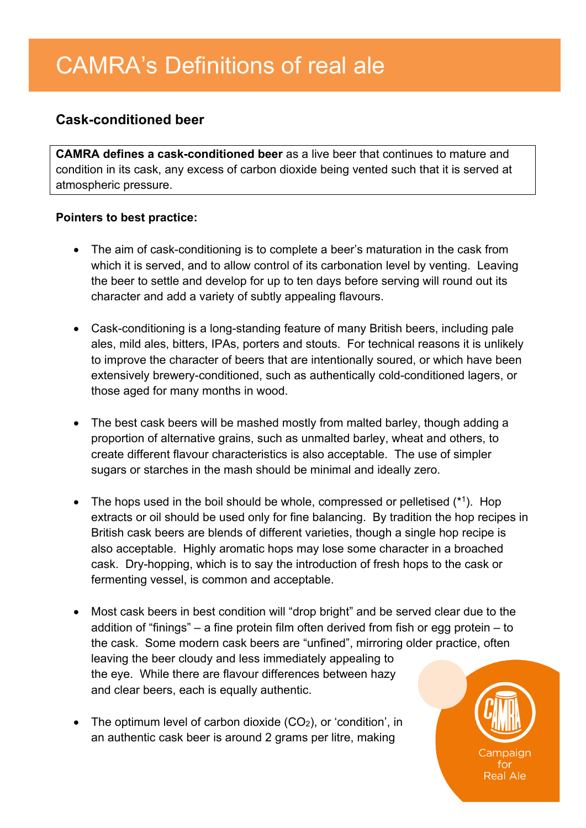## **Cask-conditioned beer**

**CAMRA defines a cask-conditioned beer** as a live beer that continues to mature and condition in its cask, any excess of carbon dioxide being vented such that it is served at atmospheric pressure.

#### **Pointers to best practice:**

- The aim of cask-conditioning is to complete a beer's maturation in the cask from which it is served, and to allow control of its carbonation level by venting. Leaving the beer to settle and develop for up to ten days before serving will round out its character and add a variety of subtly appealing flavours.
- Cask-conditioning is a long-standing feature of many British beers, including pale ales, mild ales, bitters, IPAs, porters and stouts. For technical reasons it is unlikely to improve the character of beers that are intentionally soured, or which have been extensively brewery-conditioned, such as authentically cold-conditioned lagers, or those aged for many months in wood.
- The best cask beers will be mashed mostly from malted barley, though adding a proportion of alternative grains, such as unmalted barley, wheat and others, to create different flavour characteristics is also acceptable. The use of simpler sugars or starches in the mash should be minimal and ideally zero.
- The hops used in the boil should be whole, compressed or pelletised  $(*1)$ . Hop extracts or oil should be used only for fine balancing. By tradition the hop recipes in British cask beers are blends of different varieties, though a single hop recipe is also acceptable. Highly aromatic hops may lose some character in a broached cask. Dry-hopping, which is to say the introduction of fresh hops to the cask or fermenting vessel, is common and acceptable.
- Most cask beers in best condition will "drop bright" and be served clear due to the addition of "finings" – a fine protein film often derived from fish or egg protein – to the cask. Some modern cask beers are "unfined", mirroring older practice, often leaving the beer cloudy and less immediately appealing to the eye. While there are flavour differences between hazy and clear beers, each is equally authentic.
- The optimum level of carbon dioxide  $(CO<sub>2</sub>)$ , or 'condition', in an authentic cask beer is around 2 grams per litre, making